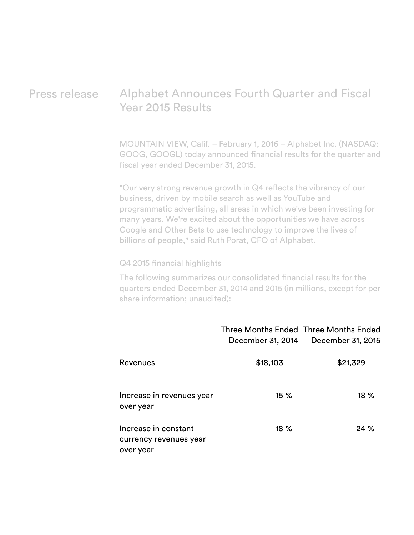# Press release Alphabet Announces Fourth Quarter and Fiscal Year 2015 Results

MOUNTAIN VIEW, Calif. – February 1, 2016 – Alphabet Inc. (NASDAQ: GOOG, GOOGL) today announced financial results for the quarter and fiscal year ended December 31, 2015.

"Our very strong revenue growth in Q4 reflects the vibrancy of our business, driven by mobile search as well as YouTube and programmatic advertising, all areas in which we've been investing for many years. We're excited about the opportunities we have across Google and Other Bets to use technology to improve the lives of billions of people," said Ruth Porat, CFO of Alphabet.

#### Q4 2015 financial highlights

The following summarizes our consolidated financial results for the quarters ended December 31, 2014 and 2015 (in millions, except for per share information; unaudited):

|                                                             | Three Months Ended Three Months Ended | December 31, 2014 December 31, 2015 |
|-------------------------------------------------------------|---------------------------------------|-------------------------------------|
| Revenues                                                    | \$18,103                              | \$21,329                            |
| Increase in revenues year<br>over year                      | 15%                                   | $18\%$                              |
| Increase in constant<br>currency revenues year<br>over year | $18\%$                                | 24%                                 |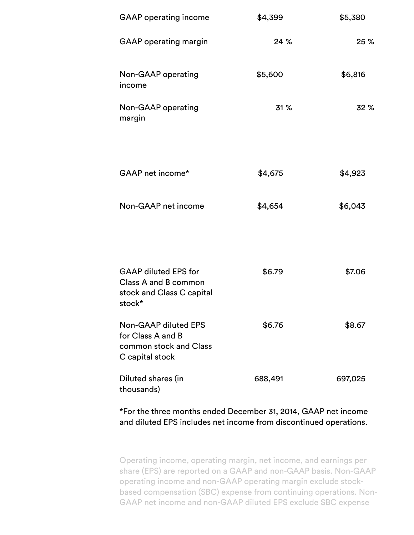| <b>GAAP</b> operating income                                                                  | \$4,399 | \$5,380 |
|-----------------------------------------------------------------------------------------------|---------|---------|
| <b>GAAP</b> operating margin                                                                  | 24 %    | 25 %    |
| Non-GAAP operating<br>income                                                                  | \$5,600 | \$6,816 |
| Non-GAAP operating<br>margin                                                                  | 31 %    | 32 %    |
| GAAP net income*                                                                              | \$4,675 | \$4,923 |
| Non-GAAP net income                                                                           | \$4,654 | \$6,043 |
| <b>GAAP diluted EPS for</b><br>Class A and B common<br>stock and Class C capital<br>stock*    | \$6.79  | \$7.06  |
| <b>Non-GAAP diluted EPS</b><br>for Class A and B<br>common stock and Class<br>C capital stock | \$6.76  | \$8.67  |
| Diluted shares (in<br>thousands)                                                              | 688,491 | 697,025 |

\*For the three months ended December 31, 2014, GAAP net income and diluted EPS includes net income from discontinued operations.

Operating income, operating margin, net income, and earnings per share (EPS) are reported on a GAAP and non-GAAP basis. Non-GAAP operating income and non-GAAP operating margin exclude stockbased compensation (SBC) expense from continuing operations. Non-GAAP net income and non-GAAP diluted EPS exclude SBC expense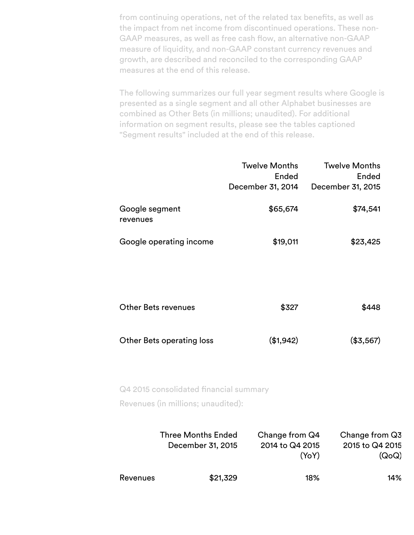from continuing operations, net of the related tax benefits, as well as the impact from net income from discontinued operations. These non-GAAP measures, as well as free cash flow, an alternative non-GAAP measure of liquidity, and non-GAAP constant currency revenues and growth, are described and reconciled to the corresponding GAAP measures at the end of this release.

The following summarizes our full year segment results where Google is presented as a single segment and all other Alphabet businesses are combined as Other Bets (in millions; unaudited). For additional information on segment results, please see the tables captioned "Segment results" included at the end of this release.

|                                  | <b>Twelve Months</b> | <b>Twelve Months</b> |
|----------------------------------|----------------------|----------------------|
|                                  | Ended                | Ended                |
|                                  | December 31, 2014    | December 31, 2015    |
| Google segment<br>revenues       | \$65,674             | \$74,541             |
| Google operating income          | \$19,011             | \$23,425             |
|                                  |                      |                      |
| <b>Other Bets revenues</b>       | \$327                | \$448                |
| <b>Other Bets operating loss</b> | (\$1,942)            | (\$3,567)            |

Q4 2015 consolidated financial summary

Revenues (in millions; unaudited):

|          | <b>Three Months Ended</b><br>December 31, 2015 | Change from Q4<br>2014 to Q4 2015<br>(YoY) | Change from Q3<br>2015 to Q4 2015<br>(QoQ) |
|----------|------------------------------------------------|--------------------------------------------|--------------------------------------------|
| Revenues | \$21,329                                       | 18%                                        | 14%                                        |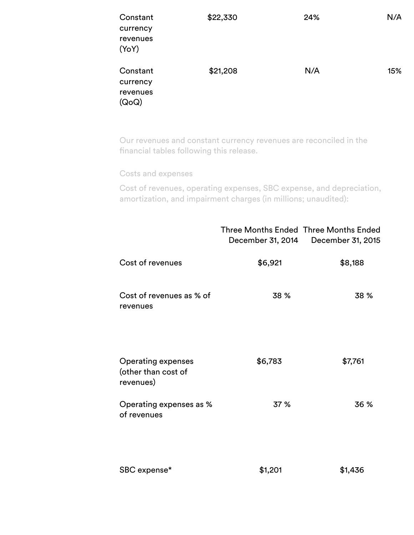| Constant<br>currency<br>revenues<br>(YoY) | \$22,330 | 24% | N/A |
|-------------------------------------------|----------|-----|-----|
| Constant<br>currency<br>revenues<br>(QoQ) | \$21,208 | N/A | 15% |

Our revenues and constant currency revenues are reconciled in the financial tables following this release.

Costs and expenses

Cost of revenues, operating expenses, SBC expense, and depreciation, amortization, and impairment charges (in millions; unaudited):

|                                                               | <b>Three Months Ended Three Months Ended</b> | December 31, 2014 December 31, 2015 |
|---------------------------------------------------------------|----------------------------------------------|-------------------------------------|
| Cost of revenues                                              | \$6,921                                      | \$8,188                             |
| Cost of revenues as % of<br>revenues                          | 38 %                                         | 38 %                                |
| <b>Operating expenses</b><br>(other than cost of<br>revenues) | \$6,783                                      | \$7,761                             |
| Operating expenses as %<br>of revenues                        | 37 %                                         | 36 %                                |
| SBC expense*                                                  | \$1,201                                      | \$1,436                             |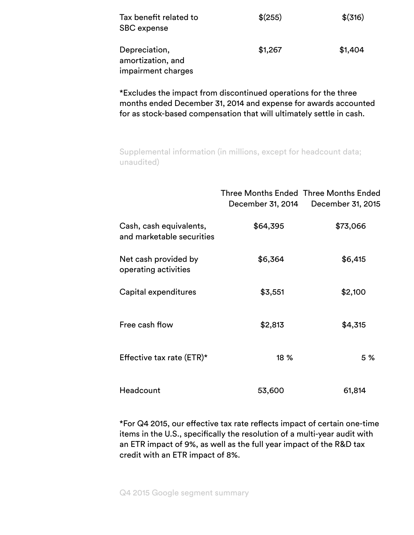| Tax benefit related to<br><b>SBC</b> expense             | $$^{(255)}$ | $$$ (316) |
|----------------------------------------------------------|-------------|-----------|
| Depreciation,<br>amortization, and<br>impairment charges | \$1,267     | \$1,404   |

\*Excludes the impact from discontinued operations for the three months ended December 31, 2014 and expense for awards accounted for as stock-based compensation that will ultimately settle in cash.

Supplemental information (in millions, except for headcount data; unaudited)

|                                                      | Three Months Ended Three Months Ended<br>December 31, 2014 | December 31, 2015 |
|------------------------------------------------------|------------------------------------------------------------|-------------------|
| Cash, cash equivalents,<br>and marketable securities | \$64,395                                                   | \$73,066          |
| Net cash provided by<br>operating activities         | \$6,364                                                    | \$6,415           |
| Capital expenditures                                 | \$3,551                                                    | \$2,100           |
| Free cash flow                                       | \$2,813                                                    | \$4,315           |
| Effective tax rate (ETR)*                            | 18 %                                                       | 5 %               |
| Headcount                                            | 53,600                                                     | 61,814            |

\*For Q4 2015, our effective tax rate reflects impact of certain one-time items in the U.S., specifically the resolution of a multi-year audit with an ETR impact of 9%, as well as the full year impact of the R&D tax credit with an ETR impact of 8%.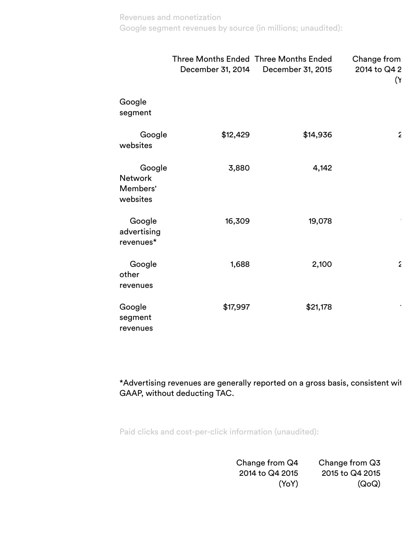## Revenues and monetization Google segment revenues by source (in millions; unaudited):

|                                                  | December 31, 2014 | Three Months Ended Three Months Ended<br>December 31, 2015 | Change from<br>2014 to Q4 2<br>(۲ |
|--------------------------------------------------|-------------------|------------------------------------------------------------|-----------------------------------|
| Google<br>segment                                |                   |                                                            |                                   |
| Google<br>websites                               | \$12,429          | \$14,936                                                   | $\tilde{\mathbf{z}}$              |
| Google<br><b>Network</b><br>Members'<br>websites | 3,880             | 4,142                                                      |                                   |
| Google<br>advertising<br>revenues*               | 16,309            | 19,078                                                     |                                   |
| Google<br>other<br>revenues                      | 1,688             | 2,100                                                      | ٤                                 |
| Google<br>segment<br>revenues                    | \$17,997          | \$21,178                                                   |                                   |

\*Advertising revenues are generally reported on a gross basis, consistent with GAAP, without deducting TAC.

Paid clicks and cost-per-click information (unaudited):

Change from Q4 2014 to Q4 2015 (YoY) Change from Q3 2015 to Q4 2015 (QoQ)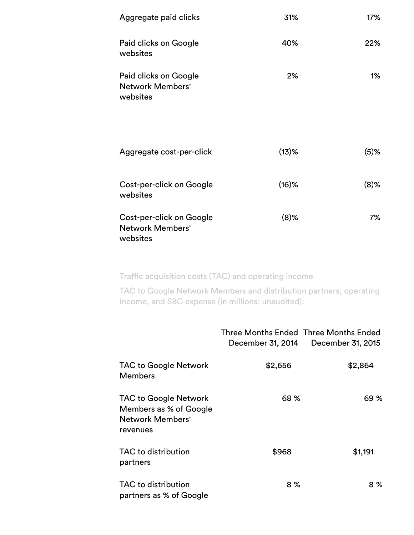| Aggregate paid clicks                                           | 31%      | 17%     |
|-----------------------------------------------------------------|----------|---------|
| Paid clicks on Google<br>websites                               | 40%      | 22%     |
| Paid clicks on Google<br><b>Network Members'</b><br>websites    | 2%       | 1%      |
| Aggregate cost-per-click                                        | $(13)$ % | $(5)$ % |
| Cost-per-click on Google<br>websites                            | $(16)$ % | $(8)$ % |
| Cost-per-click on Google<br><b>Network Members'</b><br>websites | $(8)$ %  | 7%      |

Traffic acquisition costs (TAC) and operating income

TAC to Google Network Members and distribution partners, operating income, and SBC expense (in millions; unaudited):

|                                                                                        | Three Months Ended Three Months Ended<br>December 31, 2014 | December 31, 2015 |
|----------------------------------------------------------------------------------------|------------------------------------------------------------|-------------------|
| <b>TAC to Google Network</b><br><b>Members</b>                                         | \$2,656                                                    | \$2,864           |
| <b>TAC to Google Network</b><br>Members as % of Google<br>Network Members'<br>revenues | 68 %                                                       | 69 %              |
| TAC to distribution<br>partners                                                        | \$968                                                      | \$1,191           |
| TAC to distribution<br>partners as % of Google                                         | 8 %                                                        | 8 %               |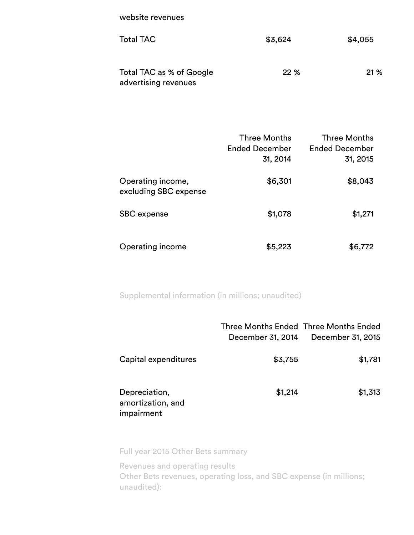website revenues

| <b>Total TAC</b>                                 | \$3,624 | \$4,055 |
|--------------------------------------------------|---------|---------|
| Total TAC as % of Google<br>advertising revenues | 22%     | 21%     |

|                                            | <b>Three Months</b><br><b>Ended December</b><br>31, 2014 | <b>Three Months</b><br><b>Ended December</b><br>31, 2015 |
|--------------------------------------------|----------------------------------------------------------|----------------------------------------------------------|
| Operating income,<br>excluding SBC expense | \$6,301                                                  | \$8,043                                                  |
| SBC expense                                | \$1,078                                                  | \$1,271                                                  |
| Operating income                           | \$5,223                                                  | \$6,772                                                  |

Supplemental information (in millions; unaudited)

|                                                  | December 31, 2014 | Three Months Ended Three Months Ended<br>December 31, 2015 |
|--------------------------------------------------|-------------------|------------------------------------------------------------|
| Capital expenditures                             | \$3,755           | \$1,781                                                    |
| Depreciation,<br>amortization, and<br>impairment | \$1,214           | \$1,313                                                    |

Full year 2015 Other Bets summary

Revenues and operating results Other Bets revenues, operating loss, and SBC expense (in millions; unaudited):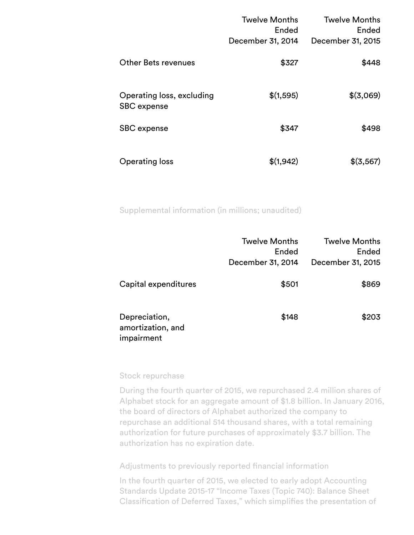|                                                 | <b>Twelve Months</b><br>Ended<br>December 31, 2014 | <b>Twelve Months</b><br>Ended<br>December 31, 2015 |
|-------------------------------------------------|----------------------------------------------------|----------------------------------------------------|
| <b>Other Bets revenues</b>                      | \$327                                              | \$448                                              |
| Operating loss, excluding<br><b>SBC</b> expense | \$(1,595)                                          | \$(3,069)                                          |
| SBC expense                                     | \$347                                              | \$498                                              |
| <b>Operating loss</b>                           | \$(1,942)                                          | \$(3,567)                                          |

Supplemental information (in millions; unaudited)

|                                                  | <b>Twelve Months</b><br>Ended<br>December 31, 2014 | <b>Twelve Months</b><br>Ended<br>December 31, 2015 |
|--------------------------------------------------|----------------------------------------------------|----------------------------------------------------|
| Capital expenditures                             | \$501                                              | \$869                                              |
| Depreciation,<br>amortization, and<br>impairment | \$148                                              | \$203                                              |

## Stock repurchase

During the fourth quarter of 2015, we repurchased 2.4 million shares of Alphabet stock for an aggregate amount of \$1.8 billion. In January 2016, the board of directors of Alphabet authorized the company to repurchase an additional 514 thousand shares, with a total remaining authorization for future purchases of approximately \$3.7 billion. The authorization has no expiration date.

Adjustments to previously reported financial information

In the fourth quarter of 2015, we elected to early adopt Accounting Standards Update 2015-17 "Income Taxes (Topic 740): Balance Sheet Classification of Deferred Taxes," which simplifies the presentation of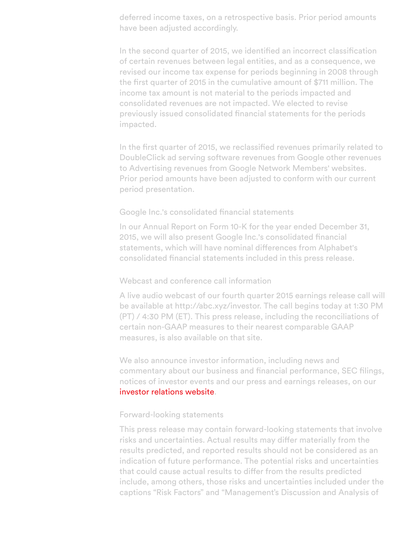deferred income taxes, on a retrospective basis. Prior period amounts have been adjusted accordingly.

In the second quarter of 2015, we identified an incorrect classification of certain revenues between legal entities, and as a consequence, we revised our income tax expense for periods beginning in 2008 through the first quarter of 2015 in the cumulative amount of \$711 million. The income tax amount is not material to the periods impacted and consolidated revenues are not impacted. We elected to revise previously issued consolidated financial statements for the periods impacted.

In the first quarter of 2015, we reclassified revenues primarily related to DoubleClick ad serving software revenues from Google other revenues to Advertising revenues from Google Network Members' websites. Prior period amounts have been adjusted to conform with our current period presentation.

#### Google Inc.'s consolidated financial statements

In our Annual Report on Form 10-K for the year ended December 31, 2015, we will also present Google Inc.'s consolidated financial statements, which will have nominal differences from Alphabet's consolidated financial statements included in this press release.

#### Webcast and conference call information

A live audio webcast of our fourth quarter 2015 earnings release call will be available at http://abc.xyz/investor. The call begins today at 1:30 PM (PT) / 4:30 PM (ET). This press release, including the reconciliations of certain non-GAAP measures to their nearest comparable GAAP measures, is also available on that site.

We also announce investor information, including news and commentary about our business and financial performance, SEC filings, notices of investor events and our press and earnings releases, on our [investor relations website.](https://abc.xyz/investor/)

#### Forward-looking statements

This press release may contain forward-looking statements that involve risks and uncertainties. Actual results may differ materially from the results predicted, and reported results should not be considered as an indication of future performance. The potential risks and uncertainties that could cause actual results to differ from the results predicted include, among others, those risks and uncertainties included under the captions "Risk Factors" and "Management's Discussion and Analysis of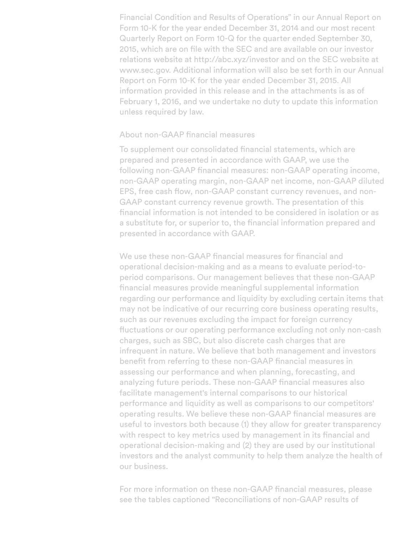Financial Condition and Results of Operations" in our Annual Report on Form 10-K for the year ended December 31, 2014 and our most recent Quarterly Report on Form 10-Q for the quarter ended September 30, 2015, which are on file with the SEC and are available on our investor relations website at http://abc.xyz/investor and on the SEC website at www.sec.gov. Additional information will also be set forth in our Annual Report on Form 10-K for the year ended December 31, 2015. All information provided in this release and in the attachments is as of February 1, 2016, and we undertake no duty to update this information unless required by law.

### About non-GAAP financial measures

To supplement our consolidated financial statements, which are prepared and presented in accordance with GAAP, we use the following non-GAAP financial measures: non-GAAP operating income, non-GAAP operating margin, non-GAAP net income, non-GAAP diluted EPS, free cash flow, non-GAAP constant currency revenues, and non-GAAP constant currency revenue growth. The presentation of this !nancial information is not intended to be considered in isolation or as a substitute for, or superior to, the financial information prepared and presented in accordance with GAAP.

We use these non-GAAP financial measures for financial and operational decision-making and as a means to evaluate period-toperiod comparisons. Our management believes that these non-GAAP financial measures provide meaningful supplemental information regarding our performance and liquidity by excluding certain items that may not be indicative of our recurring core business operating results, such as our revenues excluding the impact for foreign currency fluctuations or our operating performance excluding not only non-cash charges, such as SBC, but also discrete cash charges that are infrequent in nature. We believe that both management and investors benefit from referring to these non-GAAP financial measures in assessing our performance and when planning, forecasting, and analyzing future periods. These non-GAAP financial measures also facilitate management's internal comparisons to our historical performance and liquidity as well as comparisons to our competitors' operating results. We believe these non-GAAP financial measures are useful to investors both because (1) they allow for greater transparency with respect to key metrics used by management in its financial and operational decision-making and (2) they are used by our institutional investors and the analyst community to help them analyze the health of our business.

For more information on these non-GAAP financial measures, please see the tables captioned "Reconciliations of non-GAAP results of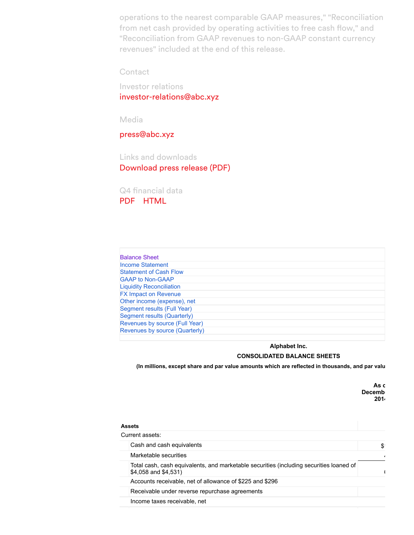operations to the nearest comparable GAAP measures," "Reconciliation from net cash provided by operating activities to free cash flow," and "Reconciliation from GAAP revenues to non-GAAP constant currency revenues" included at the end of this release.

**Contact** 

Investor relations [investor-relations@abc.xyz](mailto:investor-relations@abc.xyz)

Media

[press@abc.xyz](mailto:press@abc.xyz)

Links and downloads [Download press release \(PDF\)](https://abc.xyz/investor/pdf/2015Q4_google_earnings_release.pdf)

Q4 financial data [PDF](https://abc.xyz/investor/pdf/2015Q4_google_earnings_data.pdf) [HTML](https://abc.xyz/investor/news/earnings/2015/Q4_google_earnings/Q4_google_earnings_tab0.html)

| <b>Balance Sheet</b>            |
|---------------------------------|
| <b>Income Statement</b>         |
| <b>Statement of Cash Flow</b>   |
| <b>GAAP to Non-GAAP</b>         |
| <b>Liquidity Reconciliation</b> |
| <b>FX Impact on Revenue</b>     |
| Other income (expense), net     |
| Segment results (Full Year)     |
| Segment results (Quarterly)     |
| Revenues by source (Full Year)  |
| Revenues by source (Quarterly)  |
|                                 |

#### **Alphabet Inc. CONSOLIDATED BALANCE SHEETS**

(In millions, except share and par value amounts which are reflected in thousands, and par valu

As c Decemb **2014**

| <b>Assets</b>                                                                                                   |     |
|-----------------------------------------------------------------------------------------------------------------|-----|
| Current assets:                                                                                                 |     |
| Cash and cash equivalents                                                                                       | \$. |
| Marketable securities                                                                                           |     |
| Total cash, cash equivalents, and marketable securities (including securities loaned of<br>\$4,058 and \$4,531) |     |
| Accounts receivable, net of allowance of \$225 and \$296                                                        |     |
| Receivable under reverse repurchase agreements                                                                  |     |
| Income taxes receivable, net                                                                                    |     |